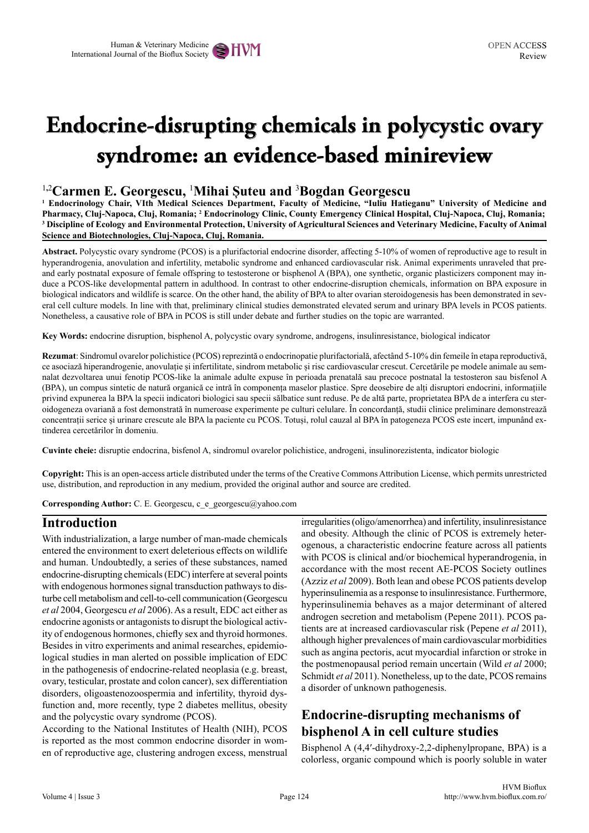# **Endocrine-disrupting chemicals in polycystic ovary syndrome: an evidence-based minireview**

#### 1**,**2 **Carmen E. Georgescu,** <sup>1</sup> **Mihai Șuteu and** <sup>3</sup> **Bogdan Georgescu**

**1 Endocrinology Chair, VIth Medical Sciences Department, Faculty of Medicine, "Iuliu Hatieganu" University of Medicine and Pharmacy, Cluj-Napoca, Cluj, Romania; <sup>2</sup> Endocrinology Clinic, County Emergency Clinical Hospital, Cluj-Napoca, Cluj, Romania; 3 Discipline of Ecology and Environmental Protection, University of Agricultural Sciences and Veterinary Medicine, Faculty of Animal Science and Biotechnologies, Cluj-Napoca, Cluj, Romania.**

**Abstract.** Polycystic ovary syndrome (PCOS) is a plurifactorial endocrine disorder, affecting 5-10% of women of reproductive age to result in hyperandrogenia, anovulation and infertility, metabolic syndrome and enhanced cardiovascular risk. Animal experiments unraveled that preand early postnatal exposure of female offspring to testosterone or bisphenol A (BPA), one synthetic, organic plasticizers component may induce a PCOS-like developmental pattern in adulthood. In contrast to other endocrine-disruption chemicals, information on BPA exposure in biological indicators and wildlife is scarce. On the other hand, the ability of BPA to alter ovarian steroidogenesis has been demonstrated in several cell culture models. In line with that, preliminary clinical studies demonstrated elevated serum and urinary BPA levels in PCOS patients. Nonetheless, a causative role of BPA in PCOS is still under debate and further studies on the topic are warranted.

**Key Words:** endocrine disruption, bisphenol A, polycystic ovary syndrome, androgens, insulinresistance, biological indicator

**Rezumat**: Sindromul ovarelor polichistice (PCOS) reprezintă o endocrinopatie plurifactorială, afectând 5-10% din femeile în etapa reproductivă, ce asociază hiperandrogenie, anovulație și infertilitate, sindrom metabolic și risc cardiovascular crescut. Cercetările pe modele animale au semnalat dezvoltarea unui fenotip PCOS-like la animale adulte expuse în perioada prenatală sau precoce postnatal la testosteron sau bisfenol A (BPA), un compus sintetic de natură organică ce intră în componența maselor plastice. Spre deosebire de alți disruptori endocrini, informațiile privind expunerea la BPA la specii indicatori biologici sau specii sălbatice sunt reduse. Pe de altă parte, proprietatea BPA de a interfera cu steroidogeneza ovariană a fost demonstrată în numeroase experimente pe culturi celulare. În concordanță, studii clinice preliminare demonstrează concentrații serice și urinare crescute ale BPA la paciente cu PCOS. Totuși, rolul cauzal al BPA în patogeneza PCOS este incert, impunând extinderea cercetărilor în domeniu.

**Cuvinte cheie:** disruptie endocrina, bisfenol A, sindromul ovarelor polichistice, androgeni, insulinorezistenta, indicator biologic

**Copyright:** This is an open-access article distributed under the terms of the Creative Commons Attribution License, which permits unrestricted use, distribution, and reproduction in any medium, provided the original author and source are credited.

**Corresponding Author:** C. E. Georgescu, c\_e\_georgescu@yahoo.com

#### **Introduction**

With industrialization, a large number of man-made chemicals entered the environment to exert deleterious effects on wildlife and human. Undoubtedly, a series of these substances, named endocrine-disrupting chemicals (EDC) interfere at several points with endogenous hormones signal transduction pathways to disturbe cell metabolism and cell-to-cell communication (Georgescu *et al* 2004, Georgescu *et al* 2006). As a result, EDC act either as endocrine agonists or antagonists to disrupt the biological activity of endogenous hormones, chiefly sex and thyroid hormones. Besides in vitro experiments and animal researches, epidemiological studies in man alerted on possible implication of EDC in the pathogenesis of endocrine-related neoplasia (e.g. breast, ovary, testicular, prostate and colon cancer), sex differentiation disorders, oligoastenozoospermia and infertility, thyroid dysfunction and, more recently, type 2 diabetes mellitus, obesity and the polycystic ovary syndrome (PCOS).

According to the National Institutes of Health (NIH), PCOS is reported as the most common endocrine disorder in women of reproductive age, clustering androgen excess, menstrual irregularities (oligo/amenorrhea) and infertility, insulinresistance and obesity. Although the clinic of PCOS is extremely heterogenous, a characteristic endocrine feature across all patients with PCOS is clinical and/or biochemical hyperandrogenia, in accordance with the most recent AE-PCOS Society outlines (Azziz *et al* 2009). Both lean and obese PCOS patients develop hyperinsulinemia as a response to insulinresistance. Furthermore, hyperinsulinemia behaves as a major determinant of altered androgen secretion and metabolism (Pepene 2011). PCOS patients are at increased cardiovascular risk (Pepene *et al* 2011), although higher prevalences of main cardiovascular morbidities such as angina pectoris, acut myocardial infarction or stroke in the postmenopausal period remain uncertain (Wild *et al* 2000; Schmidt *et al* 2011). Nonetheless, up to the date, PCOS remains a disorder of unknown pathogenesis.

## **Endocrine-disrupting mechanisms of bisphenol A in cell culture studies**

Bisphenol A (4,4′-dihydroxy-2,2-diphenylpropane, BPA) is a colorless, organic compound which is poorly soluble in water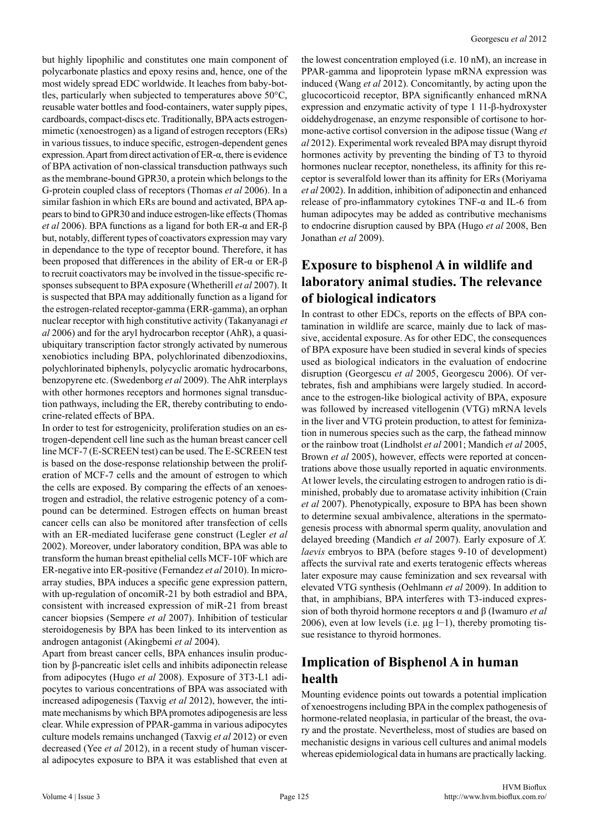but highly lipophilic and constitutes one main component of polycarbonate plastics and epoxy resins and, hence, one of the most widely spread EDC worldwide. It leaches from baby-bottles, particularly when subjected to temperatures above 50°C, reusable water bottles and food-containers, water supply pipes, cardboards, compact-discs etc. Traditionally, BPA acts estrogenmimetic (xenoestrogen) as a ligand of estrogen receptors (ERs) in various tissues, to induce specific, estrogen-dependent genes expression. Apart from direct activation of ER-α, there is evidence of BPA activation of non-classical transduction pathways such as the membrane-bound GPR30, a protein which belongs to the G-protein coupled class of receptors (Thomas *et al* 2006). In a similar fashion in which ERs are bound and activated, BPA appears to bind to GPR30 and induce estrogen-like effects (Thomas *et al* 2006). BPA functions as a ligand for both ER-α and ER-β but, notably, different types of coactivators expression may vary in dependance to the type of receptor bound. Therefore, it has been proposed that differences in the ability of ER- $\alpha$  or ER- $\beta$ to recruit coactivators may be involved in the tissue-specific responses subsequent to BPA exposure (Whetherill *et al* 2007). It is suspected that BPA may additionally function as a ligand for the estrogen-related receptor-gamma (ERR-gamma), an orphan nuclear receptor with high constitutive activity (Takanyanagi *et al* 2006) and for the aryl hydrocarbon receptor (AhR), a quasiubiquitary transcription factor strongly activated by numerous xenobiotics including BPA, polychlorinated dibenzodioxins, polychlorinated biphenyls, polycyclic aromatic hydrocarbons, benzopyrene etc. (Swedenborg *et al* 2009). The AhR interplays with other hormones receptors and hormones signal transduction pathways, including the ER, thereby contributing to endocrine-related effects of BPA.

In order to test for estrogenicity, proliferation studies on an estrogen-dependent cell line such as the human breast cancer cell line MCF-7 (E-SCREEN test) can be used. The E-SCREEN test is based on the dose-response relationship between the proliferation of MCF-7 cells and the amount of estrogen to which the cells are exposed. By comparing the effects of an xenoestrogen and estradiol, the relative estrogenic potency of a compound can be determined. Estrogen effects on human breast cancer cells can also be monitored after transfection of cells with an ER-mediated luciferase gene construct (Legler *et al* 2002). Moreover, under laboratory condition, BPA was able to transform the human breast epithelial cells MCF-10F which are ER-negative into ER-positive (Fernandez *et al* 2010). In microarray studies, BPA induces a specific gene expression pattern, with up-regulation of oncomiR-21 by both estradiol and BPA, consistent with increased expression of miR-21 from breast cancer biopsies (Sempere *et al* 2007). Inhibition of testicular steroidogenesis by BPA has been linked to its intervention as androgen antagonist (Akingbemi *et al* 2004).

Apart from breast cancer cells, BPA enhances insulin production by β-pancreatic islet cells and inhibits adiponectin release from adipocytes (Hugo *et al* 2008). Exposure of 3T3-L1 adipocytes to various concentrations of BPA was associated with increased adipogenesis (Taxvig *et al* 2012), however, the intimate mechanisms by which BPA promotes adipogenesis are less clear. While expression of PPAR-gamma in various adipocytes culture models remains unchanged (Taxvig *et al* 2012) or even decreased (Yee *et al* 2012), in a recent study of human visceral adipocytes exposure to BPA it was established that even at the lowest concentration employed (i.e. 10 nM), an increase in PPAR-gamma and lipoprotein lypase mRNA expression was induced (Wang *et al* 2012). Concomitantly, by acting upon the glucocorticoid receptor, BPA significantly enhanced mRNA expression and enzymatic activity of type 1 11-β-hydroxyster oiddehydrogenase, an enzyme responsible of cortisone to hormone-active cortisol conversion in the adipose tissue (Wang *et al* 2012). Experimental work revealed BPA may disrupt thyroid hormones activity by preventing the binding of T3 to thyroid hormones nuclear receptor, nonetheless, its affinity for this receptor is severalfold lower than its affinity for ERs (Moriyama *et al* 2002). In addition, inhibition of adiponectin and enhanced release of pro-inflammatory cytokines TNF-α and IL-6 from human adipocytes may be added as contributive mechanisms to endocrine disruption caused by BPA (Hugo *et al* 2008, Ben Jonathan *et al* 2009).

### **Exposure to bisphenol A in wildlife and laboratory animal studies. The relevance of biological indicators**

In contrast to other EDCs, reports on the effects of BPA contamination in wildlife are scarce, mainly due to lack of massive, accidental exposure. As for other EDC, the consequences of BPA exposure have been studied in several kinds of species used as biological indicators in the evaluation of endocrine disruption (Georgescu *et al* 2005, Georgescu 2006). Of vertebrates, fish and amphibians were largely studied. In accordance to the estrogen-like biological activity of BPA, exposure was followed by increased vitellogenin (VTG) mRNA levels in the liver and VTG protein production, to attest for feminization in numerous species such as the carp, the fathead minnow or the rainbow troat (Lindholst *et al* 2001; Mandich *et al* 2005, Brown *et al* 2005), however, effects were reported at concentrations above those usually reported in aquatic environments. At lower levels, the circulating estrogen to androgen ratio is diminished, probably due to aromatase activity inhibition (Crain *et al* 2007). Phenotypically, exposure to BPA has been shown to determine sexual ambivalence, alterations in the spermatogenesis process with abnormal sperm quality, anovulation and delayed breeding (Mandich *et al* 2007). Early exposure of *X. laevis* embryos to BPA (before stages 9-10 of development) affects the survival rate and exerts teratogenic effects whereas later exposure may cause feminization and sex revearsal with elevated VTG synthesis (Oehlmann *et al* 2009). In addition to that, in amphibians, BPA interferes with T3-induced expression of both thyroid hormone receptors α and β (Iwamuro *et al* 2006), even at low levels (i.e. µg l−1), thereby promoting tissue resistance to thyroid hormones.

# **Implication of Bisphenol A in human health**

Mounting evidence points out towards a potential implication of xenoestrogens including BPA in the complex pathogenesis of hormone-related neoplasia, in particular of the breast, the ovary and the prostate. Nevertheless, most of studies are based on mechanistic designs in various cell cultures and animal models whereas epidemiological data in humans are practically lacking.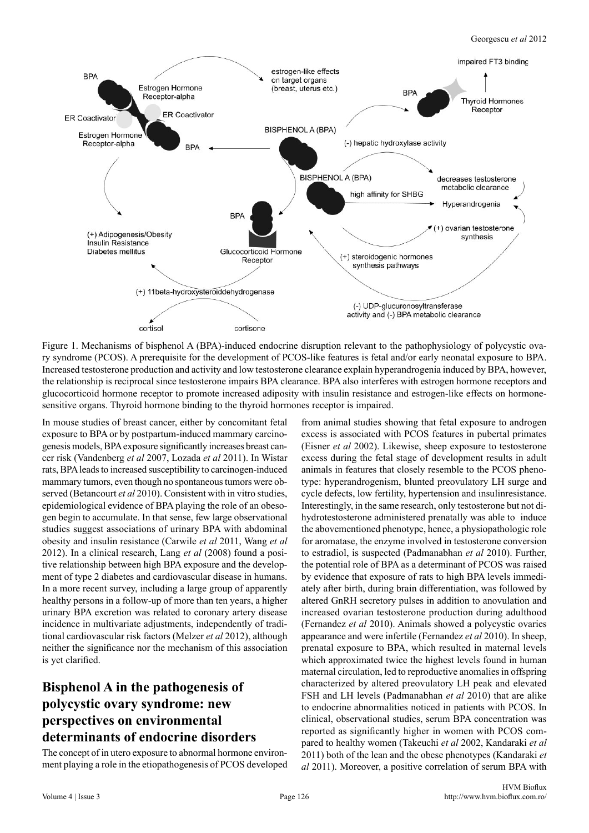

Figure 1. Mechanisms of bisphenol A (BPA)-induced endocrine disruption relevant to the pathophysiology of polycystic ovary syndrome (PCOS). A prerequisite for the development of PCOS-like features is fetal and/or early neonatal exposure to BPA. Increased testosterone production and activity and low testosterone clearance explain hyperandrogenia induced by BPA, however, the relationship is reciprocal since testosterone impairs BPA clearance. BPA also interferes with estrogen hormone receptors and glucocorticoid hormone receptor to promote increased adiposity with insulin resistance and estrogen-like effects on hormonesensitive organs. Thyroid hormone binding to the thyroid hormones receptor is impaired.

In mouse studies of breast cancer, either by concomitant fetal exposure to BPA or by postpartum-induced mammary carcinogenesis models, BPA exposure significantly increases breast cancer risk (Vandenberg *et al* 2007, Lozada *et al* 2011). In Wistar rats, BPA leads to increased susceptibility to carcinogen-induced mammary tumors, even though no spontaneous tumors were observed (Betancourt *et al* 2010). Consistent with in vitro studies, epidemiological evidence of BPA playing the role of an obesogen begin to accumulate. In that sense, few large observational studies suggest associations of urinary BPA with abdominal obesity and insulin resistance (Carwile *et al* 2011, Wang *et al* 2012). In a clinical research, Lang *et al* (2008) found a positive relationship between high BPA exposure and the development of type 2 diabetes and cardiovascular disease in humans. In a more recent survey, including a large group of apparently healthy persons in a follow-up of more than ten years, a higher urinary BPA excretion was related to coronary artery disease incidence in multivariate adjustments, independently of traditional cardiovascular risk factors (Melzer *et al* 2012), although neither the significance nor the mechanism of this association is yet clarified.

# **Bisphenol A in the pathogenesis of polycystic ovary syndrome: new perspectives on environmental determinants of endocrine disorders**

The concept of in utero exposure to abnormal hormone environment playing a role in the etiopathogenesis of PCOS developed

from animal studies showing that fetal exposure to androgen excess is associated with PCOS features in pubertal primates (Eisner *et al* 2002). Likewise, sheep exposure to testosterone excess during the fetal stage of development results in adult animals in features that closely resemble to the PCOS phenotype: hyperandrogenism, blunted preovulatory LH surge and cycle defects, low fertility, hypertension and insulinresistance. Interestingly, in the same research, only testosterone but not dihydrotestosterone administered prenatally was able to induce the abovementioned phenotype, hence, a physiopathologic role for aromatase, the enzyme involved in testosterone conversion to estradiol, is suspected (Padmanabhan *et al* 2010). Further, the potential role of BPA as a determinant of PCOS was raised by evidence that exposure of rats to high BPA levels immediately after birth, during brain differentiation, was followed by altered GnRH secretory pulses in addition to anovulation and increased ovarian testosterone production during adulthood (Fernandez *et al* 2010). Animals showed a polycystic ovaries appearance and were infertile (Fernandez *et al* 2010). In sheep, prenatal exposure to BPA, which resulted in maternal levels which approximated twice the highest levels found in human maternal circulation, led to reproductive anomalies in offspring characterized by altered preovulatory LH peak and elevated FSH and LH levels (Padmanabhan *et al* 2010) that are alike to endocrine abnormalities noticed in patients with PCOS. In clinical, observational studies, serum BPA concentration was reported as significantly higher in women with PCOS compared to healthy women (Takeuchi *et al* 2002, Kandaraki *et al* 2011) both of the lean and the obese phenotypes (Kandaraki *et al* 2011). Moreover, a positive correlation of serum BPA with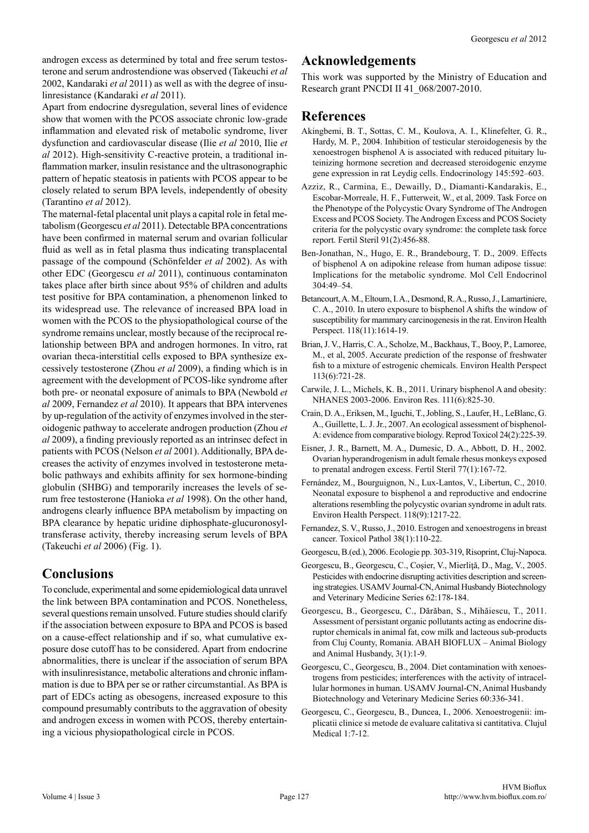androgen excess as determined by total and free serum testosterone and serum androstendione was observed (Takeuchi *et al* 2002, Kandaraki *et al* 2011) as well as with the degree of insulinresistance (Kandaraki *et al* 2011).

Apart from endocrine dysregulation, several lines of evidence show that women with the PCOS associate chronic low-grade inflammation and elevated risk of metabolic syndrome, liver dysfunction and cardiovascular disease (Ilie *et al* 2010, Ilie *et al* 2012). High-sensitivity C-reactive protein, a traditional inflammation marker, insulin resistance and the ultrasonographic pattern of hepatic steatosis in patients with PCOS appear to be closely related to serum BPA levels, independently of obesity (Tarantino *et al* 2012).

The maternal-fetal placental unit plays a capital role in fetal metabolism (Georgescu *et al* 2011). Detectable BPA concentrations have been confirmed in maternal serum and ovarian follicular fluid as well as in fetal plasma thus indicating transplacental passage of the compound (Schönfelder *et al* 2002). As with other EDC (Georgescu *et al* 2011), continuous contaminaton takes place after birth since about 95% of children and adults test positive for BPA contamination, a phenomenon linked to its widespread use. The relevance of increased BPA load in women with the PCOS to the physiopathological course of the syndrome remains unclear, mostly because of the reciprocal relationship between BPA and androgen hormones. In vitro, rat ovarian theca-interstitial cells exposed to BPA synthesize excessively testosterone (Zhou *et al* 2009), a finding which is in agreement with the development of PCOS-like syndrome after both pre- or neonatal exposure of animals to BPA (Newbold *et al* 2009, Fernandez *et al* 2010). It appears that BPA intervenes by up-regulation of the activity of enzymes involved in the steroidogenic pathway to accelerate androgen production (Zhou *et al* 2009), a finding previously reported as an intrinsec defect in patients with PCOS (Nelson *et al* 2001). Additionally, BPA decreases the activity of enzymes involved in testosterone metabolic pathways and exhibits affinity for sex hormone-binding globulin (SHBG) and temporarily increases the levels of serum free testosterone (Hanioka *et al* 1998). On the other hand, androgens clearly influence BPA metabolism by impacting on BPA clearance by hepatic uridine diphosphate-glucuronosyltransferase activity, thereby increasing serum levels of BPA (Takeuchi *et al* 2006) (Fig. 1).

## **Conclusions**

To conclude, experimental and some epidemiological data unravel the link between BPA contamination and PCOS. Nonetheless, several questions remain unsolved. Future studies should clarify if the association between exposure to BPA and PCOS is based on a cause-effect relationship and if so, what cumulative exposure dose cutoff has to be considered. Apart from endocrine abnormalities, there is unclear if the association of serum BPA with insulinresistance, metabolic alterations and chronic inflammation is due to BPA per se or rather circumstantial. As BPA is part of EDCs acting as obesogens, increased exposure to this compound presumably contributs to the aggravation of obesity and androgen excess in women with PCOS, thereby entertaining a vicious physiopathological circle in PCOS.

#### **Acknowledgements**

This work was supported by the Ministry of Education and Research grant PNCDI II 41\_068/2007-2010.

#### **References**

- Akingbemi, B. T., Sottas, C. M., Koulova, A. I., Klinefelter, G. R., Hardy, M. P., 2004. Inhibition of testicular steroidogenesis by the xenoestrogen bisphenol A is associated with reduced pituitary luteinizing hormone secretion and decreased steroidogenic enzyme gene expression in rat Leydig cells. Endocrinology 145:592–603.
- Azziz, R., Carmina, E., Dewailly, D., Diamanti-Kandarakis, E., Escobar-Morreale, H. F., Futterweit, W., et al, 2009. Task Force on the Phenotype of the Polycystic Ovary Syndrome of The Androgen Excess and PCOS Society. The Androgen Excess and PCOS Society criteria for the polycystic ovary syndrome: the complete task force report. Fertil Steril 91(2):456-88.
- Ben-Jonathan, N., Hugo, E. R., Brandebourg, T. D., 2009. Effects of bisphenol A on adipokine release from human adipose tissue: Implications for the metabolic syndrome. Mol Cell Endocrinol 304:49–54.
- Betancourt, A. M., Eltoum, I. A., Desmond, R. A., Russo, J., Lamartiniere, C. A., 2010. In utero exposure to bisphenol A shifts the window of susceptibility for mammary carcinogenesis in the rat. Environ Health Perspect. 118(11):1614-19.
- Brian, J. V., Harris, C. A., Scholze, M., Backhaus, T., Booy, P., Lamoree, M., et al, 2005. Accurate prediction of the response of freshwater fish to a mixture of estrogenic chemicals. Environ Health Perspect 113(6):721-28.
- Carwile, J. L., Michels, K. B., 2011. Urinary bisphenol A and obesity: NHANES 2003-2006. Environ Res. 111(6):825-30.
- Crain, D. A., Eriksen, M., Iguchi, T., Jobling, S., Laufer, H., LeBlanc, G. A., Guillette, L. J. Jr., 2007. An ecological assessment of bisphenol-A: evidence from comparative biology. Reprod Toxicol 24(2):225-39.
- Eisner, J. R., Barnett, M. A., Dumesic, D. A., Abbott, D. H., 2002. Ovarian hyperandrogenism in adult female rhesus monkeys exposed to prenatal androgen excess. Fertil Steril 77(1):167-72.
- Fernández, M., Bourguignon, N., Lux-Lantos, V., Libertun, C., 2010. Neonatal exposure to bisphenol a and reproductive and endocrine alterations resembling the polycystic ovarian syndrome in adult rats. Environ Health Perspect. 118(9):1217-22.
- Fernandez, S. V., Russo, J., 2010. Estrogen and xenoestrogens in breast cancer. Toxicol Pathol 38(1):110-22.
- Georgescu, B.(ed.), 2006. Ecologie pp. 303-319, Risoprint, Cluj-Napoca.
- Georgescu, B., Georgescu, C., Coşier, V., Mierliţă, D., Mag, V., 2005. Pesticides with endocrine disrupting activities description and screening strategies. USAMV Journal-CN, Animal Husbandy Biotechnology and Veterinary Medicine Series 62:178-184.
- Georgescu, B., Georgescu, C., Dărăban, S., Mihăiescu, T., 2011. Assessment of persistant organic pollutants acting as endocrine disruptor chemicals in animal fat, cow milk and lacteous sub-products from Cluj County, Romania. ABAH BIOFLUX – Animal Biology and Animal Husbandy, 3(1):1-9.
- Georgescu, C., Georgescu, B., 2004. Diet contamination with xenoestrogens from pesticides; interferences with the activity of intracellular hormones in human. USAMV Journal-CN, Animal Husbandy Biotechnology and Veterinary Medicine Series 60:336-341.
- Georgescu, C., Georgescu, B., Duncea, I., 2006. Xenoestrogenii: implicatii clinice si metode de evaluare calitativa si cantitativa. Clujul Medical 1:7-12.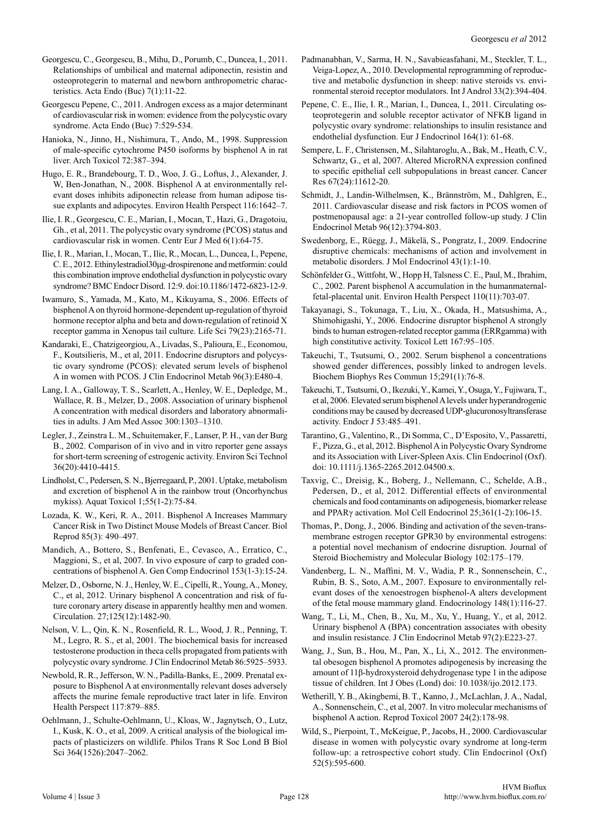- Georgescu, C., Georgescu, B., Mihu, D., Porumb, C., Duncea, I., 2011. Relationships of umbilical and maternal adiponectin, resistin and osteoprotegerin to maternal and newborn anthropometric characteristics. Acta Endo (Buc) 7(1):11-22.
- Georgescu Pepene, C., 2011. Androgen excess as a major determinant of cardiovascular risk in women: evidence from the polycystic ovary syndrome. Acta Endo (Buc) 7:529-534.
- Hanioka, N., Jinno, H., Nishimura, T., Ando, M., 1998. Suppression of male-specific cytochrome P450 isoforms by bisphenol A in rat liver. Arch Toxicol 72:387–394.
- Hugo, E. R., Brandebourg, T. D., Woo, J. G., Loftus, J., Alexander, J. W, Ben-Jonathan, N., 2008. Bisphenol A at environmentally relevant doses inhibits adiponectin release from human adipose tissue explants and adipocytes. Environ Health Perspect 116:1642–7.
- Ilie, I. R., Georgescu, C. E., Marian, I., Mocan, T., Hazi, G., Dragotoiu, Gh., et al, 2011. The polycystic ovary syndrome (PCOS) status and cardiovascular risk in women. Centr Eur J Med 6(1):64-75.
- Ilie, I. R., Marian, I., Mocan, T., Ilie, R., Mocan, L., Duncea, I., Pepene, C. E., 2012. Ethinylestradiol30μg-drospirenone and metformin: could this combination improve endothelial dysfunction in polycystic ovary syndrome? BMC Endocr Disord. 12:9. doi:10.1186/1472-6823-12-9.
- Iwamuro, S., Yamada, M., Kato, M., Kikuyama, S., 2006. Effects of bisphenol A on thyroid hormone-dependent up-regulation of thyroid hormone receptor alpha and beta and down-regulation of retinoid X receptor gamma in Xenopus tail culture. Life Sci 79(23):2165-71.
- Kandaraki, E., Chatzigeorgiou, A., Livadas, S., Palioura, E., Economou, F., Koutsilieris, M., et al, 2011. Endocrine disruptors and polycystic ovary syndrome (PCOS): elevated serum levels of bisphenol A in women with PCOS. J Clin Endocrinol Metab 96(3):E480-4.
- Lang, I. A., Galloway, T. S., Scarlett, A., Henley, W. E., Depledge, M., Wallace, R. B., Melzer, D., 2008. Association of urinary bisphenol A concentration with medical disorders and laboratory abnormalities in adults. J Am Med Assoc 300:1303–1310.
- Legler, J., Zeinstra L. M., Schuitemaker, F., Lanser, P. H., van der Burg B., 2002. Comparison of in vivo and in vitro reporter gene assays for short-term screening of estrogenic activity. Environ Sci Technol 36(20):4410-4415.
- Lindholst, C., Pedersen, S. N., Bjerregaard, P., 2001. Uptake, metabolism and excretion of bisphenol A in the rainbow trout (Oncorhynchus mykiss). Aquat Toxicol 1;55(1-2):75-84.
- Lozada, K. W., Keri, R. A., 2011. Bisphenol A Increases Mammary Cancer Risk in Two Distinct Mouse Models of Breast Cancer. Biol Reprod 85(3): 490–497.
- Mandich, A., Bottero, S., Benfenati, E., Cevasco, A., Erratico, C., Maggioni, S., et al, 2007. In vivo exposure of carp to graded concentrations of bisphenol A. Gen Comp Endocrinol 153(1-3):15-24.
- Melzer, D., Osborne, N. J., Henley, W. E., Cipelli, R., Young, A., Money, C., et al, 2012. Urinary bisphenol A concentration and risk of future coronary artery disease in apparently healthy men and women. Circulation. 27;125(12):1482-90.
- Nelson, V. L., Qin, K. N., Rosenfield, R. L., Wood, J. R., Penning, T. M., Legro, R. S., et al, 2001. The biochemical basis for increased testosterone production in theca cells propagated from patients with polycystic ovary syndrome. J Clin Endocrinol Metab 86:5925–5933.
- Newbold, R. R., Jefferson, W. N., Padilla-Banks, E., 2009. Prenatal exposure to Bisphenol A at environmentally relevant doses adversely affects the murine female reproductive tract later in life. Environ Health Perspect 117:879–885.
- Oehlmann, J., Schulte-Oehlmann, U., Kloas, W., Jagnytsch, O., Lutz, I., Kusk, K. O., et al, 2009. A critical analysis of the biological impacts of plasticizers on wildlife. Philos Trans R Soc Lond B Biol Sci 364(1526):2047–2062.
- Padmanabhan, V., Sarma, H. N., Savabieasfahani, M., Steckler, T. L., Veiga-Lopez, A., 2010. Developmental reprogramming of reproductive and metabolic dysfunction in sheep: native steroids vs. environmental steroid receptor modulators. Int J Androl 33(2):394-404.
- Pepene, C. E., Ilie, I. R., Marian, I., Duncea, I., 2011. Circulating osteoprotegerin and soluble receptor activator of NFKB ligand in polycystic ovary syndrome: relationships to insulin resistance and endothelial dysfunction. Eur J Endocrinol 164(1): 61-68.
- Sempere, L. F., Christensen, M., Silahtaroglu, A., Bak, M., Heath, C.V., Schwartz, G., et al, 2007. Altered MicroRNA expression confined to specific epithelial cell subpopulations in breast cancer. Cancer Res 67(24):11612-20.
- Schmidt, J., Landin-Wilhelmsen, K., Brännström, M., Dahlgren, E., 2011. Cardiovascular disease and risk factors in PCOS women of postmenopausal age: a 21-year controlled follow-up study. J Clin Endocrinol Metab 96(12):3794-803.
- Swedenborg, E., Rüegg, J., Mäkelä, S., Pongratz, I., 2009. Endocrine disruptive chemicals: mechanisms of action and involvement in metabolic disorders. J Mol Endocrinol 43(1):1-10.
- Schönfelder G., Wittfoht, W., Hopp H, Talsness C. E., Paul, M., Ibrahim, C., 2002. Parent bisphenol A accumulation in the humanmaternalfetal-placental unit. Environ Health Perspect 110(11):703-07.
- Takayanagi, S., Tokunaga, T., Liu, X., Okada, H., Matsushima, A., Shimohigashi, Y., 2006. Endocrine disruptor bisphenol A strongly binds to human estrogen-related receptor gamma (ERRgamma) with high constitutive activity. Toxicol Lett 167:95-105.
- Takeuchi, T., Tsutsumi, O., 2002. Serum bisphenol a concentrations showed gender differences, possibly linked to androgen levels. Biochem Biophys Res Commun 15;291(1):76-8.
- Takeuchi, T., Tsutsumi, O., Ikezuki, Y., Kamei, Y., Osuga, Y., Fujiwara, T., et al, 2006. Elevated serum bisphenol A levels under hyperandrogenic conditions may be caused by decreased UDP-glucuronosyltransferase activity. Endocr J 53:485–491.
- Tarantino, G., Valentino, R., Di Somma, C., D'Esposito, V., Passaretti, F., Pizza, G., et al, 2012. Bisphenol A in Polycystic Ovary Syndrome and its Association with Liver-Spleen Axis. Clin Endocrinol (Oxf). doi: 10.1111/j.1365-2265.2012.04500.x.
- Taxvig, C., Dreisig, K., Boberg, J., Nellemann, C., Schelde, A.B., Pedersen, D., et al, 2012. Differential effects of environmental chemicals and food contaminants on adipogenesis, biomarker release and PPARγ activation. Mol Cell Endocrinol 25;361(1-2):106-15.
- Thomas, P., Dong, J., 2006. Binding and activation of the seven-transmembrane estrogen receptor GPR30 by environmental estrogens: a potential novel mechanism of endocrine disruption. Journal of Steroid Biochemistry and Molecular Biology 102:175–179.
- Vandenberg, L. N., Maffini, M. V., Wadia, P. R., Sonnenschein, C., Rubin, B. S., Soto, A.M., 2007. Exposure to environmentally relevant doses of the xenoestrogen bisphenol-A alters development of the fetal mouse mammary gland. Endocrinology 148(1):116-27.
- Wang, T., Li, M., Chen, B., Xu, M., Xu, Y., Huang, Y., et al, 2012. Urinary bisphenol A (BPA) concentration associates with obesity and insulin resistance. J Clin Endocrinol Metab 97(2):E223-27.
- Wang, J., Sun, B., Hou, M., Pan, X., Li, X., 2012. The environmental obesogen bisphenol A promotes adipogenesis by increasing the amount of 11β-hydroxysteroid dehydrogenase type 1 in the adipose tissue of children. Int J Obes (Lond) doi: 10.1038/ijo.2012.173.
- Wetherill, Y. B., Akingbemi, B. T., Kanno, J., McLachlan, J. A., Nadal, A., Sonnenschein, C., et al, 2007. In vitro molecular mechanisms of bisphenol A action. Reprod Toxicol 2007 24(2):178-98.
- Wild, S., Pierpoint, T., McKeigue, P., Jacobs, H., 2000. Cardiovascular disease in women with polycystic ovary syndrome at long-term follow-up: a retrospective cohort study. Clin Endocrinol (Oxf) 52(5):595-600.